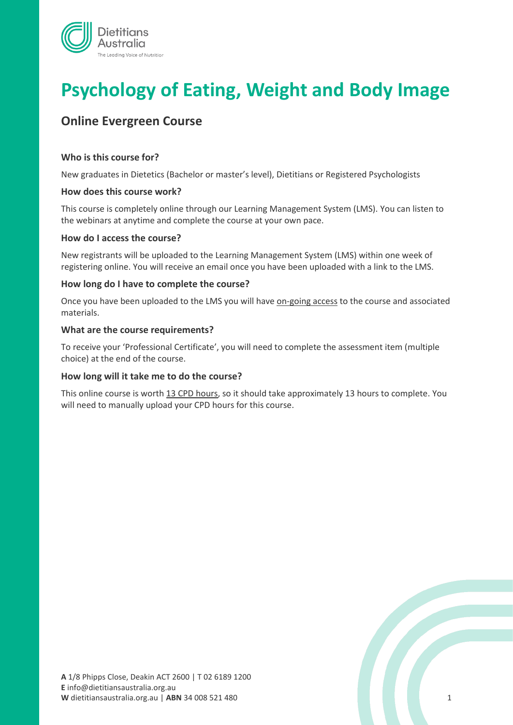

# **Psychology of Eating, Weight and Body Image**

## **Online Evergreen Course**

#### **Who is this course for?**

New graduates in Dietetics (Bachelor or master's level), Dietitians or Registered Psychologists

#### **How does this course work?**

This course is completely online through our Learning Management System (LMS). You can listen to the webinars at anytime and complete the course at your own pace.

#### **How do I access the course?**

New registrants will be uploaded to the Learning Management System (LMS) within one week of registering online. You will receive an email once you have been uploaded with a link to the LMS.

#### **How long do I have to complete the course?**

Once you have been uploaded to the LMS you will have on-going access to the course and associated materials.

#### **What are the course requirements?**

To receive your 'Professional Certificate', you will need to complete the assessment item (multiple choice) at the end of the course.

#### **How long will it take me to do the course?**

This online course is worth 13 CPD hours, so it should take approximately 13 hours to complete. You will need to manually upload your CPD hours for this course.

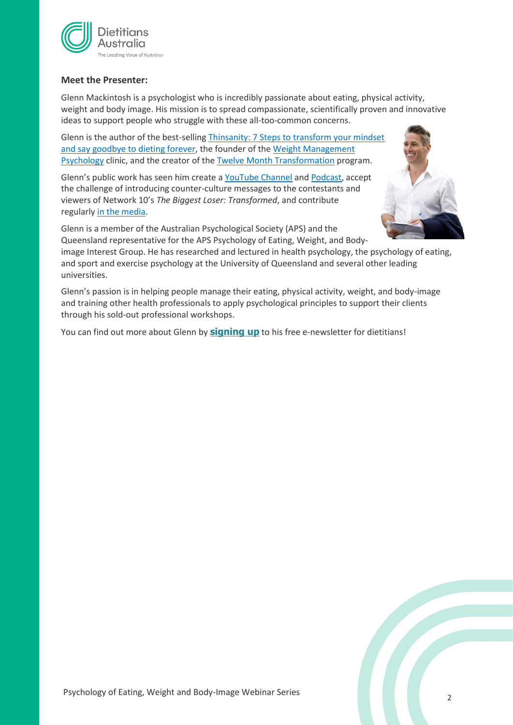

#### **Meet the Presenter:**

Glenn Mackintosh is a psychologist who is incredibly passionate about eating, physical activity, weight and body image. His mission is to spread compassionate, scientifically proven and innovative ideas to support people who struggle with these all-too-common concerns.

Glenn is the author of the best-sellin[g Thinsanity: 7 Steps to transform your mindset](https://glennmackintosh.com/thinsanity/)  [and say goodbye to dieting forever,](https://glennmackintosh.com/thinsanity/) the founder of the [Weight Management](https://www.weightmanagementpsychology.com.au/)  [Psychology](https://www.weightmanagementpsychology.com.au/) clinic, and the creator of the [Twelve Month Transformation](https://www.weightmanagementpsychology.com.au/tmt/) program.

Glenn's public work has seen him create a [YouTube Channel](https://www.youtube.com/weightmanagementpsychology) and [Podcast,](https://glennmackintosh.com/podcast/) accept the challenge of introducing counter-culture messages to the contestants and viewers of Network 10's *The Biggest Loser: Transformed*, and contribute regularly [in the media.](https://glennmackintosh.com/media/)



Glenn is a member of the Australian Psychological Society (APS) and the Queensland representative for the APS Psychology of Eating, Weight, and Bodyimage Interest Group. He has researched and lectured in health psychology, the psychology of eating, and sport and exercise psychology at the University of Queensland and several other leading universities.

Glenn's passion is in helping people manage their eating, physical activity, weight, and body-image and training other health professionals to apply psychological principles to support their clients through his sold-out professional workshops.

You can find out more about Glenn by **[signing up](http://eepurl.com/bLWimv)** to his free e-newsletter for dietitians!

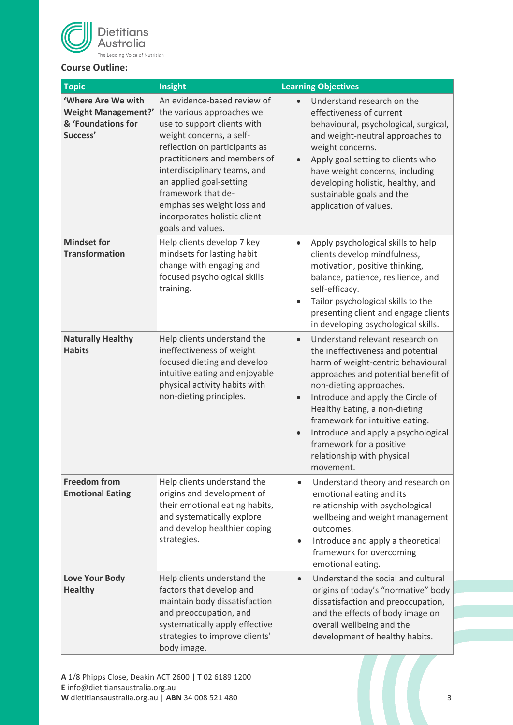

### **Course Outline:**

| <b>Topic</b>                                                                | Insight                                                                                                                                                                                                                                                                                                                                                  | <b>Learning Objectives</b>                                                                                                                                                                                                                                                                                                                                                                                                    |  |  |
|-----------------------------------------------------------------------------|----------------------------------------------------------------------------------------------------------------------------------------------------------------------------------------------------------------------------------------------------------------------------------------------------------------------------------------------------------|-------------------------------------------------------------------------------------------------------------------------------------------------------------------------------------------------------------------------------------------------------------------------------------------------------------------------------------------------------------------------------------------------------------------------------|--|--|
| 'Where Are We with<br>Weight Management?'<br>& 'Foundations for<br>Success' | An evidence-based review of<br>the various approaches we<br>use to support clients with<br>weight concerns, a self-<br>reflection on participants as<br>practitioners and members of<br>interdisciplinary teams, and<br>an applied goal-setting<br>framework that de-<br>emphasises weight loss and<br>incorporates holistic client<br>goals and values. | Understand research on the<br>effectiveness of current<br>behavioural, psychological, surgical,<br>and weight-neutral approaches to<br>weight concerns.<br>Apply goal setting to clients who<br>have weight concerns, including<br>developing holistic, healthy, and<br>sustainable goals and the<br>application of values.                                                                                                   |  |  |
| <b>Mindset for</b><br><b>Transformation</b>                                 | Help clients develop 7 key<br>mindsets for lasting habit<br>change with engaging and<br>focused psychological skills<br>training.                                                                                                                                                                                                                        | Apply psychological skills to help<br>$\bullet$<br>clients develop mindfulness,<br>motivation, positive thinking,<br>balance, patience, resilience, and<br>self-efficacy.<br>Tailor psychological skills to the<br>presenting client and engage clients<br>in developing psychological skills.                                                                                                                                |  |  |
| <b>Naturally Healthy</b><br><b>Habits</b>                                   | Help clients understand the<br>ineffectiveness of weight<br>focused dieting and develop<br>intuitive eating and enjoyable<br>physical activity habits with<br>non-dieting principles.                                                                                                                                                                    | Understand relevant research on<br>$\bullet$<br>the ineffectiveness and potential<br>harm of weight-centric behavioural<br>approaches and potential benefit of<br>non-dieting approaches.<br>Introduce and apply the Circle of<br>$\bullet$<br>Healthy Eating, a non-dieting<br>framework for intuitive eating.<br>Introduce and apply a psychological<br>framework for a positive<br>relationship with physical<br>movement. |  |  |
| <b>Freedom from</b><br><b>Emotional Eating</b>                              | Help clients understand the<br>origins and development of<br>their emotional eating habits,<br>and systematically explore<br>and develop healthier coping<br>strategies.                                                                                                                                                                                 | Understand theory and research on<br>$\bullet$<br>emotional eating and its<br>relationship with psychological<br>wellbeing and weight management<br>outcomes.<br>Introduce and apply a theoretical<br>$\bullet$<br>framework for overcoming<br>emotional eating.                                                                                                                                                              |  |  |
| <b>Love Your Body</b><br><b>Healthy</b>                                     | Help clients understand the<br>factors that develop and<br>maintain body dissatisfaction<br>and preoccupation, and<br>systematically apply effective<br>strategies to improve clients'<br>body image.                                                                                                                                                    | Understand the social and cultural<br>$\bullet$<br>origins of today's "normative" body<br>dissatisfaction and preoccupation,<br>and the effects of body image on<br>overall wellbeing and the<br>development of healthy habits.                                                                                                                                                                                               |  |  |